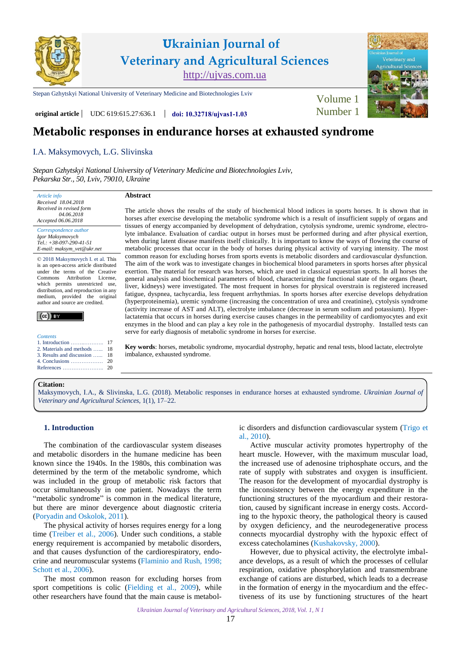

**original article** UDC 619:615.27:636.1 doi: **10.32718/ujvas1-1.03** Number 1

# **Metabolic responses in endurance horses at exhausted syndrome**

# I.А. [Maksymovych,](http://orcid.org/0000-0002-9012-0262) L.G. [Slivinskа](http://orcid.org/0000-0003-4441-7628)

*[Stepan Gzhytskyi National University of Veterinary Medicine and Biotechnologies Lviv,](https://lvet.edu.ua)  Pekarska Str., 50, Lviv, 79010, Ukraine* 

*Article info Received 18.04.2018 Received in revised form 04.06.2018 Accepted 06.06.2018 Correspondence author [Igor Maksymovych](https://scholar.google.com.ua/citations?user=FAvpvoYAAAAJ&hl=ru)*

*Tel.: +38-097-290-41-51 E-mail: maksym\_vet@ukr.net*

© 2018 Maksymovych I. et al. This is an open-access article distributed under the terms of the Creative<br>Commons Attribution License Attribution which permits unrestricted use, distribution, and reproduction in any medium, provided the original author and source are credited.

| <b>Contents</b>               |  |
|-------------------------------|--|
|                               |  |
| 2. Materials and methods  18  |  |
| 3. Results and discussion  18 |  |
|                               |  |

References […………………..](#page-3-0) [20](#page-3-0)

### **Abstract**

The article shows the results of the study of biochemical blood indices in sports horses. It is shown that in horses after exercise developing the metabolic syndrome which is a result of insufficient supply of organs and tissues of energy accompanied by development of dehydration, cytolysis syndrome, uremic syndrome, electrolyte imbalance. Evaluation of cardiac output in horses must be performed during and after physical exertion, when during latent disease manifests itself clinically. It is important to know the ways of flowing the course of metabolic processes that occur in the body of horses during physical activity of varying intensity. The most common reason for excluding horses from sports events is metabolic disorders and cardiovascular dysfunction. The aim of the work was to investigate changes in biochemical blood parameters in sports horses after physical exertion. The material for research was horses, which are used in classical equestrian sports. In all horses the general analysis and biochemical parameters of blood, characterizing the functional state of the organs (heart, liver, kidneys) were investigated. The most frequent in horses for physical overstrain is registered increased fatigue, dyspnea, tachycardia, less frequent arrhythmias. In sports horses after exercise develops dehydration (hyperproteinemia), uremic syndrome (increasing the concentration of urea and creatinine), cytolysis syndrome (activity increase of AST and ALT), electrolyte imbalance (decrease in serum sodium and potassium). Hyperlactatemia that occurs in horses during exercise causes changes in the permeability of cardiomyocytes and exit enzymes in the blood and can play a key role in the pathogenesis of myocardial dystrophy. Installed tests can serve for early diagnosis of metabolic syndrome in horses for exercise.

**Key words**: horses, metabolic syndrome, myocardial dystrophy, hepatic and renal tests, blood lactate, electrolyte imbalance, exhausted syndrome.

#### **Citation:**

Maksymovych, I.А., & Slivinskа, L.G. (2018). Metabolic responses in endurance horses at exhausted syndrome. *Ukrainian Journal of [Veterinary and Agricultural Sciences](https://doi.org/10.32718/ujvas1-1.03)*, 1(1), 17–22.

## **1. Introduction**

The combination of the cardiovascular system diseases and metabolic disorders in the humane medicine has been known since the 1940s. In the 1980s, this combination was determined by the term of the metabolic syndrome, which was included in the group of metabolic risk factors that occur simultaneously in one patient. Nowadays the term "metabolic syndrome" is common in the medical literature, but there are minor devergence about diagnostic criteria ([Poryadin and Oskolok, 2011](#page-4-0)).

The physical activity of horses requires energy for a long time [\(Treiber et al., 2006](#page-4-0)). Under such conditions, a stable energy requirement is accompanied by metabolic disorders, and that causes dysfunction of the cardiorespiratory, endocrine and neuromuscular systems ([Flaminio](#page-4-0) and Rush, 1998; Schott [et al., 2006](#page-4-0)).

The most common reason for excluding horses from sport competitions is colic (Fielding [et al., 2009](#page-4-0)), while other researchers have found that the main cause is metabolic disorders and disfunction cardiovascular system [\(Trigo](#page-4-0) et [al., 2010\)](#page-4-0).

Active muscular activity promotes hypertrophy of the heart muscle. However, with the maximum muscular load, the increased use of adenosine triphosphate occurs, and the rate of supply with substrates and oxygen is insufficient. The reason for the development of myocardial dystrophy is the inconsistency between the energy expenditure in the functioning structures of the myocardium and their restoration, caused by significant increase in energy costs. According to the hypoxic theory, the pathological theory is caused by oxygen deficiency, and the neurodegenerative process connects myocardial dystrophy with the hypoxic effect of excess catecholamines [\(Kushakovsky,](#page-4-0) 2000).

However, due to physical activity, the electrolyte imbalance develops, as a result of which the processes of cellular respiration, oxidative phosphorylation and transmembrane exchange of cations are disturbed, which leads to a decrease in the formation of energy in the myocardium and the effectiveness of its use by functioning structures of the heart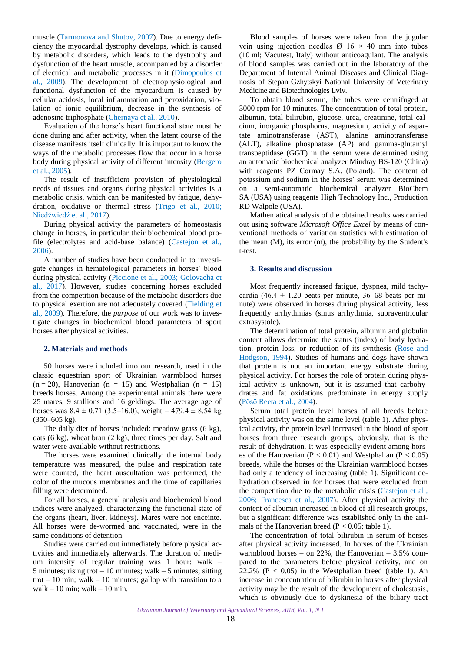<span id="page-1-0"></span>muscle [\(Tarmonova and Shutov, 2007\)](#page-4-0). Due to energy deficiency the myocardial dystrophy develops, which is caused by metabolic disorders, which leads to the dystrophy and dysfunction of the heart muscle, accompanied by a disorder of electrical and metabolic processes in it ([Dimopoulos et](#page-4-0) [al., 2009\)](#page-4-0). The development of electrophysiological and functional dysfunction of the myocardium is caused by cellular acidosis, local inflammation and peroxidation, violation of ionic equilibrium, decrease in the synthesis of adenosine triphosphate [\(Chernaya et al., 2010\)](#page-4-0).

Evaluation of the horse's heart functional state must be done during and after activity, when the latent course of the disease manifests itself clinically. It is important to know the ways of the metabolic processes flow that occur in a horse body during physical activity of different intensity [\(Bergero](#page-3-0) [et al., 2005](#page-3-0)).

The result of insufficient provision of physiological needs of tissues and organs during physical activities is a metabolic crisis, which can be manifested by fatigue, dehydration, oxidative or thermal stress (Trigo [et al., 2010;](#page-4-0) [Niedźwiedź](#page-4-0) et al., 2017).

During physical activity the parameters of homeostasis change in horses, in particular their biochemical blood profile (electrolytes and acid-base balance) [\(Castejon](#page-4-0) et al., [2006\)](#page-4-0).

A number of studies have been conducted in to investigate changes in hematological parameters in horses' blood during physical activity [\(Piccione et al., 2003](#page-4-0); [Golovaсha et](#page-4-0) [al., 2017](#page-4-0)). However, studies concerning horses excluded from the competition because of the metabolic disorders due to physical exertion are not adequately covered ([Fielding](#page-4-0) et [al., 2009\)](#page-4-0). Therefore, the *purpose* of our work was to investigate changes in biochemical blood parameters of sport horses after physical activities.

#### **2. Materials and methods**

50 horses were included into our research, used in the classic equestrian sport of Ukrainian warmblood horses  $(n = 20)$ , Hanoverian  $(n = 15)$  and Westphalian  $(n = 15)$ breeds horses. Among the experimental animals there were 25 mares, 9 stallions and 16 geldings. The average age of horses was  $8.4 \pm 0.71$  (3.5–16.0), weight – 479.4  $\pm$  8.54 kg (350–605 kg).

The daily diet of horses included: meadow grass (6 kg), oats (6 kg), wheat bran (2 kg), three times per day. Salt and water were available without restrictions.

The horses were examined clinically: the internal body temperature was measured, the pulse and respiration rate were counted, the heart auscultation was performed, the color of the mucous membranes and the time of capillaries filling were determined.

For all horses, a general analysis and biochemical blood indices were analyzed, characterizing the functional state of the organs (heart, liver, kidneys). Mares were not enceinte. All horses were de-wormed and vaccinated, were in the same conditions of detention.

Studies were carried out immediately before physical activities and immediately afterwards. The duration of medium intensity of regular training was 1 hour: walk – 5 minutes; rising trot  $-10$  minutes; walk  $-5$  minutes; sitting trot – 10 min; walk – 10 minutes; gallop with transition to a walk – 10 min; walk – 10 min.

Blood samples of horses were taken from the jugular vein using injection needles  $\varnothing$  16  $\times$  40 mm into tubes (10 ml; Vacutest, Italy) without anticoagulant. The analysis of blood samples was carried out in the laboratory of the Department of Internal Animal Diseases and Clinical Diagnosis of Stepan Gzhytskyi National University of Veterinary Medicine and Biotechnologies Lviv.

To obtain blood serum, the tubes were centrifuged at 3000 rpm for 10 minutes. The concentration of total protein, albumin, total bilirubin, glucose, urea, creatinine, total calcium, inorganic phosphorus, magnesium, activity of aspartate aminotransferase (AST), alanine aminotransferase (ALT), alkaline phosphatase (AP) and gamma-glutamyl transpeptidase (GGT) in the serum were determined using an automatic biochemical analyzer Mindray BS-120 (China) with reagents PZ Cormay S.A. (Poland). The content of potassium and sodium in the horses' serum was determined on a semi-automatic biochemical analyzer BioChem SA (USA) using reagents High Technology Inc., Production RD Walpole (USA).

Mathematical analysis of the obtained results was carried out using software *Microsoft Office Excel* by means of conventional methods of variation statistics with estimation of the mean (М), its error (m), the probability by the Student's t-test.

#### **3. Results and discussion**

Most frequently increased fatigue, dyspnea, mild tachycardia (46.4  $\pm$  1.20 beats per minute, 36–68 beats per minute) were observed in horses during physical activity, less frequently arrhythmias (sinus arrhythmia, supraventricular extrasystole).

The determination of total protein, albumin and globulin content allows determine the status (index) of body hydration, protein loss, or reduction of its synthesis ([Rose](#page-4-0) and [Hodgson,](#page-4-0) 1994). Studies of humans and dogs have shown that protein is not an important energy substrate during physical activity. For horses the role of protein during physical activity is unknown, but it is assumed that carbohydrates and fat oxidations predominate in energy supply [\(Pösö Reeta et al., 2004](#page-4-0)).

Serum total protein level horses of all breeds before physical activity was on the same level (table 1). After physical activity, the protein level increased in the blood of sport horses from three research groups, obviously, that is the result of dehydration. It was especially evident among horses of the Hanoverian ( $P < 0.01$ ) and Westphalian ( $P < 0.05$ ) breeds, while the horses of the Ukrainian warmblood horses had only a tendency of increasing (table 1). Significant dehydration observed in for horses that were excluded from the competition due to the metabolic crisis ([Castejon](#page-4-0) et al., [2006](#page-4-0); [Francesca et al., 2007\)](#page-4-0). After physical activity the content of albumin increased in blood of all research groups, but a significant difference was established only in the animals of the Hanoverian breed ( $P < 0.05$ ; table 1).

The concentration of total bilirubin in serum of horses after physical activity increased. In horses of the Ukrainian warmblood horses – on  $22\%$ , the Hanoverian –  $3.5\%$  compared to the parameters before physical activity, and on 22.2% ( $P < 0.05$ ) in the Westphalian breed (table 1). An increase in concentration of bilirubin in horses after physical activity may be the result of the development of cholestasis, which is obviously due to dyskinesia of the biliary tract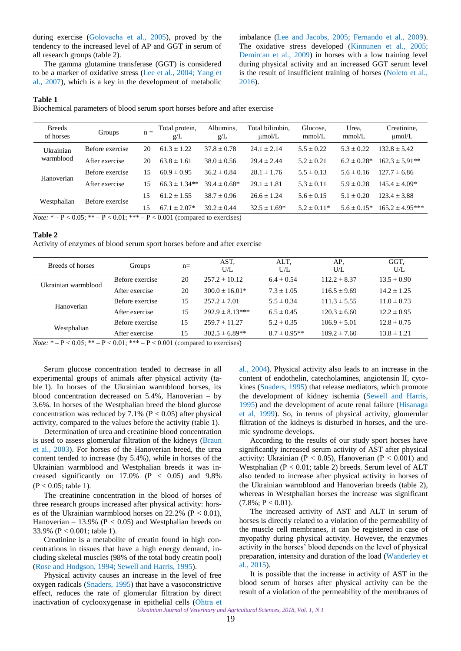during exercise [\(Golovaсha et al., 2005](#page-4-0)), proved by the tendency to the increased level of AP and GGT in serum of all research groups (table 2).

The gamma glutamine transferase (GGT) is considered to be a marker of oxidative stress (Lee [et al., 2004;](#page-4-0) [Yang et](#page-5-0) [al., 2007](#page-5-0)), which is a key in the development of metabolic imbalance (Lee [and Jacobs,](#page-4-0) 2005; [Fernando et al., 2009](#page-4-0)). The oxidative stress developed [\(Kinnunen et al., 2005](#page-4-0); Demircan [et al., 2009](#page-4-0)) in horses with a low training level during physical activity and an increased GGT serum level is the result of insufficient training of horses [\(Noleto](#page-4-0) et al., [2016](#page-4-0)).

## **Table 1**

Biochemical parameters of blood serum sport horses before and after exercise

| <b>Breeds</b><br>of horses                                                                       | Groups                                                                                              | $n =$ | Total protein,<br>g/L          | Albumins,<br>g/L                               | Total bilirubin,<br>$\mu$ mol/L | Glucose,<br>mmol/L | Urea.<br>mmol/L  | Creatinine,<br>$\mu$ mol/L |
|--------------------------------------------------------------------------------------------------|-----------------------------------------------------------------------------------------------------|-------|--------------------------------|------------------------------------------------|---------------------------------|--------------------|------------------|----------------------------|
| Ukrainian<br>warmblood                                                                           | Before exercise                                                                                     | 20    | $61.3 \pm 1.22$                | $37.8 \pm 0.78$                                | $24.1 \pm 2.14$                 | $5.5 \pm 0.22$     | $5.3 \pm 0.22$   | $132.8 \pm 5.42$           |
|                                                                                                  | After exercise                                                                                      | 20    | $63.8 \pm 1.61$                | $38.0 \pm 0.56$                                | $29.4 \pm 2.44$                 | $5.2 \pm 0.21$     | $6.2 \pm 0.28^*$ | $162.3 \pm 5.91**$         |
| Hanoverian                                                                                       | Before exercise                                                                                     | 15    | $60.9 \pm 0.95$                | $36.2 \pm 0.84$                                | $28.1 \pm 1.76$                 | $5.5 \pm 0.13$     | $5.6 \pm 0.16$   | $127.7 \pm 6.86$           |
|                                                                                                  | After exercise                                                                                      | 15    | $66.3 \pm 1.34**$              | $39.4 \pm 0.68^*$                              | $29.1 \pm 1.81$                 | $5.3 \pm 0.11$     | $5.9 \pm 0.28$   | $145.4 \pm 4.09*$          |
| Westphalian                                                                                      | 15<br>Before exercise<br>15                                                                         |       | $61.2 \pm 1.55$                | $38.7 \pm 0.96$                                | $26.6 \pm 1.24$                 | $5.6 \pm 0.15$     | $5.1 \pm 0.20$   | $123.4 \pm 3.88$           |
|                                                                                                  |                                                                                                     |       | $67.1 \pm 2.07*$               | $39.2 \pm 0.44$                                | $32.5 \pm 1.69*$                | $5.2 \pm 0.11*$    | $5.6 \pm 0.15*$  | $165.2 \pm 4.95***$        |
| $\mathbf{v}$ and $\mathbf{v}$ and $\mathbf{v}$ and $\mathbf{v}$ and $\mathbf{v}$<br>$\mathbf{r}$ | $\bigcap_{i=1}^n \bigcap_{i=1}^n$<br>$\mathbf{R}$ $\alpha$ $\alpha$ $\beta$ $\beta$ $\beta$ $\beta$ |       | $\mathbf{R}$ $\alpha$ $\alpha$ | $\mathbf{u}$ and $\mathbf{u}$ and $\mathbf{u}$ |                                 |                    |                  |                            |

*Note:*  $* - P < 0.05$ ;  $** - P < 0.01$ ;  $*** - P < 0.001$  (compared to exercises)

#### **Table 2**

Activity of enzymes of blood serum sport horses before and after exercise

| Breeds of horses    | Groups          | $n=$ | AST.<br>U/L         | ALT.<br>U/L      | AP.<br>U/L       | GGT.<br>U/L     |
|---------------------|-----------------|------|---------------------|------------------|------------------|-----------------|
| Ukrainian warmblood | Before exercise | 20   | $257.2 \pm 10.12$   | $6.4 \pm 0.54$   | $112.2 \pm 8.37$ | $13.5 \pm 0.90$ |
|                     | After exercise  | 20   | $300.0 \pm 16.01*$  | $7.3 \pm 1.05$   | $116.5 \pm 9.69$ | $14.2 \pm 1.25$ |
| Hanoverian          | Before exercise | 15   | $257.2 \pm 7.01$    | $5.5 \pm 0.34$   | $111.3 \pm 5.55$ | $11.0 \pm 0.73$ |
|                     | After exercise  | 15   | $292.9 \pm 8.13***$ | $6.5 \pm 0.45$   | $120.3 \pm 6.60$ | $12.2 \pm 0.95$ |
| Westphalian         | Before exercise | 15   | $259.7 \pm 11.27$   | $5.2 \pm 0.35$   | $106.9 \pm 5.01$ | $12.8 \pm 0.75$ |
|                     | After exercise  | 15   | $302.5 \pm 6.89**$  | $8.7 \pm 0.95**$ | $109.2 \pm 7.60$ | $13.8 \pm 1.21$ |

 $\overline{Note: * - P}$  < 0.05; \*\* – P < 0.01; \*\*\* – P < 0.001 (compared to exercises)

Serum glucose concentration tended to decrease in all experimental groups of animals after physical activity (table 1). In horses of the Ukrainian warmblood horses, its blood concentration decreased on 5.4%, Hanoverian – by 3.6%. In horses of the Westphalian breed the blood glucose concentration was reduced by  $7.1\%$  (P < 0.05) after physical activity, compared to the values before the activity (table 1).

Determination of urea and creatinine blood concentration is used to assess glomerular filtration of the kidneys ([Braun](#page-4-0) [et al., 2003\)](#page-4-0). For horses of the Hanoverian breed, the urea content tended to increase (by 5.4%), while in horses of the Ukrainian warmblood and Westphalian breeds it was increased significantly on  $17.0\%$  (P < 0.05) and 9.8%  $(P < 0.05$ ; table 1).

The creatinine concentration in the blood of horses of three research groups increased after physical activity: horses of the Ukrainian warmblood horses on 22.2% ( $P < 0.01$ ), Hanoverian – 13.9% ( $P < 0.05$ ) and Westphalian breeds on 33.9% (Р < 0.001; table 1).

Creatinine is a metabolite of creatin found in high concentrations in tissues that have a high energy demand, including skeletal muscles (98% of the total body creatin pool) (Rose [and Hodgson,](#page-4-0) 1994; [Sewell and Harris,](#page-4-0) 1995).

Physical activity causes an increase in the level of free oxygen radicals ([Snaders,](#page-4-0) 1995) that have a vasoconstrictive effect, reduces the rate of glomerular filtration by direct inactivation of cyclooxygenase in epithelial cells [\(Оhtra](#page-4-0) et

[al., 2004\)](#page-4-0). Physical activity also leads to an increase in the content of endothelin, catecholamines, angiotensin II, cytokines [\(Snaders,](#page-4-0) 1995) that release mediators, which promote the development of kidney ischemia [\(Sewell and Harris](#page-4-0), [1995](#page-4-0)) and the development of acute renal failure ([Hisanaga](#page-4-0) [et al, 1999\)](#page-4-0). So, in terms of physical activity, glomerular filtration of the kidneys is disturbed in horses, and the uremic syndrome develops.

According to the results of our study sport horses have significantly increased serum activity of AST after physical activity: Ukrainian ( $P < 0.05$ ), Hanoverian ( $P < 0.001$ ) and Westphalian (Р < 0.01; table 2) breeds. Serum level of ALT also tended to increase after physical activity in horses of the Ukrainian warmblood and Hanoverian breeds (table 2), whereas in Westphalian horses the increase was significant  $(7.8\%; P < 0.01).$ 

The increased activity of AST and ALT in serum of horses is directly related to a violation of the permeability of the muscle cell membranes, it can be registered in case of myopathy during physical activity. However, the enzymes activity in the horses' blood depends on the level of physical preparation, intensity and duration of the load [\(Wanderley et](#page-5-0)  [al., 2015\)](#page-5-0).

It is possible that the increase in activity of AST in the blood serum of horses after physical activity can be the result of a violation of the permeability of the membranes of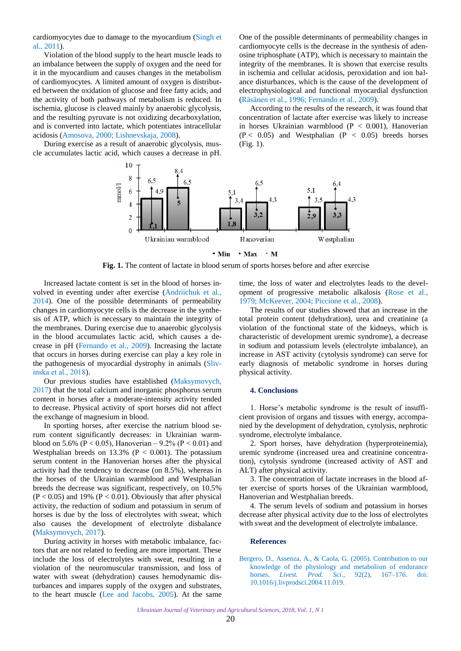<span id="page-3-0"></span>cardiomyocytes due to damage to the myocardium ([Singh et](#page-4-0) [al., 2011](#page-4-0)).

Violation of the blood supply to the heart muscle leads to an imbalance between the supply of oxygen and the need for it in the myocardium and causes changes in the metabolism of cardiomyocytes. А limited amount of oxygen is distributed between the oxidation of glucose and free fatty acids, and the activity of both pathways of metabolism is reduced. In ischemia, glucose is cleaved mainly by anaerobic glycolysis, and the resulting pyruvate is not oxidizing decarboxylation, and is converted into lactate, which potentiates intracellular acidosis ([Amosova, 2000](#page-5-0); [Lishnevskaja, 2008](#page-5-0)).

During exercise as a result of anaerobic glycolysis, muscle accumulates lactic acid, which causes a decrease in pH. One of the possible determinants of permeability changes in cardiomyocyte cells is the decrease in the synthesis of adenosine triphosphate (ATP), which is necessary to maintain the integrity of the membranes. It is shown that exercise results in ischemia and cellular acidosis, peroxidation and ion balance disturbances, which is the cause of the development of electrophysiological and functional myocardial dysfunction [\(Räsänen et al., 1996](#page-5-0); [Fernando et al., 2009](#page-5-0)).

According to the results of the research, it was found that concentration of lactate after exercise was likely to increase in horses Ukrainian warmblood (Р < 0.001), Hanoverian  $(P < 0.05)$  and Westphalian  $(P < 0.05)$  breeds horses (Fig. 1).



**Fig. 1.** The content of lactate in blood serum of sports horses before and after exercise

Increased lactate content is set in the blood of horses involved in eventing under after exercise [\(Andriichuk et al.,](#page-5-0) [2014\)](#page-5-0). One of the possible determinants of permeability changes in cardiomyocyte cells is the decrease in the synthesis of ATP, which is necessary to maintain the integrity of the membranes. During exercise due to anaerobic glycolysis in the blood accumulates lactic acid, which causes a decrease in pH ([Fernando et al., 2009\)](#page-4-0). Increasing the lactate that occurs in horses during exercise can play a key role in the pathogenesis of myocardial dystrophy in animals ([Sliv](#page-5-0)[inskа et al., 2018\)](#page-5-0).

Our previous studies have established [\(Maksymovych,](#page-4-0) [2017\)](#page-4-0) that the total calcium and inorganic phosphorus serum content in horses after a moderate-intensity activity tended to decrease. Physical activity of sport horses did not affect the exchange of magnesium in blood.

In sporting horses, after exercise the natrium blood serum content significantly decreases: in Ukrainian warmblood on 5.6% ( $P < 0.05$ ), Hanoverian – 9.2% ( $P < 0.01$ ) and Westphalian breeds on  $13.3\%$  (P < 0.001). The potassium serum content in the Hanoverian horses after the physical activity had the tendency to decrease (on 8.5%), whereas in the horses of the Ukrainian warmblood and Westphalian breeds the decrease was significant, respectively, on 10.5%  $(P < 0.05)$  and 19% (P < 0.01). Obviously that after physical activity, the reduction of sodium and potassium in serum of horses is due by the loss of electrolytes with sweat, which also causes the development of electrolyte disbalance ([Maksymovych, 2017](#page-4-0)).

During activity in horses with metabolic imbalance, factors that are not related to feeding are more important. These include the loss of electrolytes with sweat, resulting in a violation of the neuromuscular transmission, and loss of water with sweat (dehydration) causes hemodynamic disturbances and impares supply of the oxygen and substrates, to the heart muscle (Lee [and Jacobs,](#page-4-0) 2005). At the same

time, the loss of water and electrolytes leads to the development of progressive metabolic alkalosis [\(Rose et al.,](#page-4-0)  [1979](#page-4-0); [McKeever, 2004;](#page-4-0) Piccione [et al., 2008](#page-4-0)).

The results of our studies showed that an increase in the total protein content (dehydration), urea and creatinine (a violation of the functional state of the kidneys, which is characteristic of development uremic syndrome), a decrease in sodium and potassium levels (electrolyte imbalance), an increase in AST activity (cytolysis syndrome) can serve for early diagnosis of metabolic syndrome in horses during physical activity.

#### **4. Conclusions**

1. Horse's metabolic syndrome is the result of insufficient provision of organs and tissues with energy, accompanied by the development of dehydration, cytolysis, nephrotic syndrome, electrolyte imbalance.

2. Sport horses, have dehydration (hyperproteinemia), uremic syndrome (increased urea and creatinine concentration), cytolysis syndrome (increased activity of AST and ALT) after physical activity.

3. The concentration of lactate increases in the blood after exercise of sports horses of the Ukrainian warmblood, Hanoverian and Westphalian breeds.

4. The serum levels of sodium and potassium in horses decrease after physical activity due to the loss of electrolytes with sweat and the development of electrolyte imbalance.

#### **References**

[Bergero,](http://www.sciencedirect.com/science/article/pii/S0301622604002349) D., [Assenza,](http://www.sciencedirect.com/science/article/pii/S0301622604002349) A., & [Caola,](http://www.sciencedirect.com/science/article/pii/S0301622604002349) G. (2005). Contribution to our [knowledge of the physiology and metabolism of endurance](https://doi.org/10.1016/j.livprodsci.2004.11.019)  horses. *[Livest. Prod. Sci.,](http://www.sciencedirect.com/science/journal/03016226)* [92\(2\),](http://www.sciencedirect.com/science/journal/03016226/92/2) 167–176. doi: [10.1016/j.livprodsci.2004.11.019.](https://doi.org/10.1016/j.livprodsci.2004.11.019)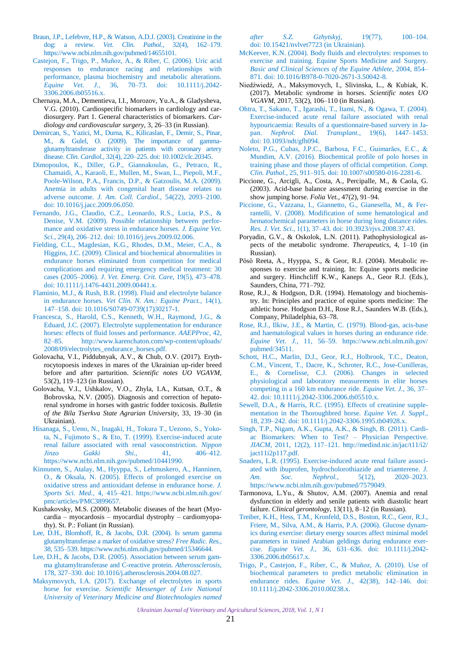- <span id="page-4-0"></span>Braun, J.P., Lefebvre, H.P., & Watson, A.D.J. (2003). Creatinine in the dog: a review. *Vet. Clin. Pathol.,* 32(4), 162–179. [https://www.ncbi.nlm.nih.gov/pubmed/14655101.](https://www.ncbi.nlm.nih.gov/pubmed/14655101)
- Castejon, F., Trigo, P., Muñoz, A., & Riber, C. (2006). Uric acid responses to endurance racing and relationships with [performance, plasma biochemistry and metabolic alterations.](https://doi.org/10.1111/j.2042-3306.2006.tb05516.x) *Equine Vet. J.,* 36, 70–73. doi: 10.1111/j.2042- 3306.2006.tb05516.x.
- Chernaya, M.A., Dementieva, I.I., Morozov, Yu.A., & Gladysheva, V.G. (2010). Cardiospecific biomarkers in cardiology and cardiosurgery. Part 1. General characteristics of biomarkers. *Cardiology and cardiovascular surgery*, 3, 26–33 (in Russian).
- Demircan, S., Yazici, M., Durna, K., Kilicaslan, F., Demir, S., Pinar, M., & Gulel, O. (2009). The importance of gamma[glutamyltransferase activity in patients with coronary artery](https://doi.org/10.1002/clc.20345)  disease. *Clin. Cardiol.,* 32(4), 220–225. doi: 10.1002/clc.20345.
- Dimopoulos, K., Diller, G.P., Giannakoulas, G., Petraco, R., Chamaidi, A., Karaoli, E., Mullen, M., Swan, L., Piepoli, M.F., Poole-Wilson, P.A., Francis, D.P., & Gatzoulis, M.A. (2009). [Anemia in adults with congenital heart disease relates to](https://doi.org/10.1016/j.jacc.2009.06.050) adverse outcome. *J. Am. Coll. Cardiol.,* 54(22), 2093–2100. doi: 10.1016/j.jacc.2009.06.050.
- Fernando, J.G., Claudio, C.Z., Leonardo, R.S., Lucia, P.S., & [Denise, V.M. \(2009\). Possible relationship between perfor](https://www.sciencedirect.com/science/article/pii/S0737080609000355)mance and oxidative stress in endurance horses. *J. Equine Vet. Sci.,* 29(4), 206–212. doi: 10.1016/j.jevs.2009.02.006.
- Fielding, C.L., Magdesian, K.G., Rhodes, D.M., Meier, C.A., & Higgins, J.C. (2009). Clinical and biochemical abnormalities in [endurance horses eliminated from competition for medical](https://doi.org/10.1111/j.1476-4431.2009.00441.x)  complications and requiring emergency medical treatment: 30 cases (2005–2006). *J. Vet. Emerg. Crit. Care,* 19(5), 473–478. doi: 10.1111/j.1476-4431.2009.00441.x.
- Flaminio, M.J., & Rush, [B.R. \(1998\). Fluid and electrolyte balance](https://doi.org/10.1016/S0749-0739(17)30217-1) in endurance horses. *Vet Clin. N. Am.: Equine Pract.,* 14(1), 147–158. doi: 10.1016/S0749-0739(17)30217-1.
- Francesca, S., Harold, C.S., Kenneth, W.H., Raymond, J.G., & Eduard, J.C. (2007). Electrolyte supplementation for endurance horses: effects of fluid losses and performance. *AAEPProc,* 42, [82–85. http://www.karenchaton.com/wp-content/uploads/](http://www.karenchaton.com/wp-content/uploads/2008/09/electrolytes_endurance_horses.pdf) 2008/09/electrolytes\_endurance\_horses.pdf.
- Golovaсha, V.I., Piddubnуak, A.V., & Chub, О.V. (2017). Erythrocytopoesis indexes in mares of the Ukrainian up-rider breed before and after parturition. *Scientific notes UO VGAVM,* 53(2), 119–123 (in Russian).
- Golovaсha, V.I., Ushkalov, V.O., Zhуla, I.A., Kutsan, O.T., & Bobrovska, N.V. (2005). Diagnosis and correction of hepatorenal syndrome in horses with gastric fodder toxicosis. *Bulletin of the Bila Tserkva State Agrarian University*, 33, 19–30 (in Ukrainian).
- Hisanaga, S., Ueno, N., Inagaki, H., Tokura T., Uezono, S., Yokota, N., Fujimoto S., & Eto, T. (1999). Exercise-induced acute renal failure associated with renal vasoconstriction. *Nippon Jinzo Gakki Shi.,* 41, 406–412. [https://www.ncbi.nlm.nih.gov/pubmed/10441990.](https://www.ncbi.nlm.nih.gov/pubmed/10441990)
- Kinnunen, S., Atalay, M., Hyyppa, S., Lehmuskero, A., Hanninen, O., & Oksala, N. (2005). Effects of prolonged exercise on [oxidative stress and antioxidant defense in endurance horse.](https://www.ncbi.nlm.nih.gov/pmc/articles/PMC3899657) *J. Sports Sci. Med.,* 4, 415–421. https://www.ncbi.nlm.nih.gov/ pmc/articles/PMC3899657.
- Kushakovsky, M.S. (2000). Metabolic diseases of the heart (Myocardia – myocardosis – myocardial dystrophy – cardiomyopathy). St. P.: Foliant (in Russian).
- Lee, D.H., Blomhoff, R., & Jacobs, D.R. (2004). Is serum gamma glutamyltransferase a marker of oxidative stress? *Free Radic. Res.,* [38, 535–539. https://www.ncbi.nlm.nih.gov/pubmed/15346644.](https://www.ncbi.nlm.nih.gov/pubmed/15346644)
- Lee, D.H., & Jacobs, D.R. (2005). Association between serum gamma glutamyltransferase and C-reactive protein. *Atherossclerosis,* 178, 327–330. doi: [10.1016/j.atherosclerosis.2004.08.027.](https://www.ncbi.nlm.nih.gov/pubmed/15694941)
- Maksymovych, [I.A. \(2017\). Exchange of electrolytes in sports](https://doi.org/10.15421/nvlvet7723) horse for exercise. *Scientific Messenger of Lviv National University of Veterinary Medicine and Biotechnologies named*
- McKeever, K.N. (2004). Body fluids and electrolytes: responses to exercise and training. Equine Sports Medicine and Surgery. *[Basic and Clinical Sciences of the Equine Athlete,](https://doi.org/10.1016/B978-0-7020-2671-3.50042-8)* 2004, 854– 871. doi: 10.1016/B978-0-7020-2671-3.50042-8.
- Niedźwiedź, А., Maksymovych, I., Slivinskа, L., & Кubiak, K. (2017). Metabolic syndrome in horses. *Scientific notes UO VGAVM*, 2017, 53(2), 106–110 (in Russian).
- Оhtra, T., Sakano, T., Igarashi, T., Itami, N., & Ogawa, T. (2004). Exercise-induced acute renal failure associated with renal hypouricaemia: Results of a questionnaire-based survery in Japan. *[Nephrol. Dial. Transplant.](https://doi.org/10.1093/ndt/gfh094)*, 19(6), 1447–1453. doi: 10.1093/ndt/gfh094.
- [Noleto, P.G., Cubas, J.P.C., Barbosa, F.C., Guimarães, E.C., &](https://doi.org/10.1007/s00580-016-2281-6)  Mundim, A.V. (2016). Biochemical profile of polo horses in training phase and those players of official competition. *Comp. Clin. Pathol.*, 25, 911–915. doi: 10.1007/s00580-016-2281-6.
- Piccione, G., Arcigli, A., Costa, A., Percipalle, M., & Caola, G. (2003). Acid-base balance assessment during exercise in the show jumping horse. *Folia Vet.*, 47(2), 91–94.
- Piccione, G., Vazzana, I., Giannetto, G., Gianesella, M., & Ferrantelli, V. (2008). Modification of some hematological and [hematochemical parameters in horse during long distance rides.](https://doi.org/10.3923/rjvs.2008.37.43)  *Res. J. Vet. Sci.*, 1(1), 37–43. doi: 10.3923/rjvs.2008.37.43.
- Poryadin, G.V., & Oskolok, L.N. (2011). Pathophysiological aspects of the metabolic syndrome. *Therapeutics*, 4, 1–10 (in Russian).
- Pösö Reeta, A., Hyyppa, S., & Geor, R.J. (2004). Metabolic responses to exercise and training. In: Equine sports medicine and surgery. Hinchcliff K.W., Kaneps A., Geor R.J. (Eds.), Saunders, China, 771–792.
- Rose, R.J., & Hodgson, D.R. (1994). Hematology and biochemistry. In: Principles and practice of equine sports medicine: The athletic horse. Hodgson D.H., Rose R.J., Saunders W.B. (Eds.), Company, Philadelphia, 63–78.
- Rose, R.J., Ilkiw, J.E., & Martin, C. (1979). Blood-gas, acis-base and haematological values in horses during an endurance ride. *Equine Vet. J.*[, 11, 56–59. https://www.ncbi.nlm.nih.gov/](https://www.ncbi.nlm.nih.gov/pubmed/34511) pubmed/34511.
- Schott, H.C., Marlin, D.J., Geor, R.J., Holbrook, T.C., Deaton, C.M., Vincent, T., Dacre, K., Schroter, R.C., Jose-Cunilleras, E., & Cornelisse, C.J. (2006). Changes in selected [physiological and laboratory measurements in elite horses](https://doi.org/10.1111/j.2042-3306.2006.tb05510.x)  competing in a 160 km endurance ride. *Equine Vet. J.*, 36, 37– 42. doi: 10.1111/j.2042-3306.2006.tb05510.x.
- Sewell, D.A., & Harris, R.C. (1995). Effects of creatinine supplementation in the Thoroughbred horse. *Equine Vet. J. Suppl.*, 18, 239–242. doi: [10.1111/j.2042-3306.1995.tb04928.x.](https://doi.org/10.1111/j.2042-3306.1995.tb04928.x)
- Singh, T.P., Nigam, A.K., Gupta, A.K., & Singh, B. (2011). Cardiac Biomarkers: When to Test? – Physician Perspective. *JIACM*[, 2011, 12\(2\), 117–121. http://medind.nic.in/jac/t11/i2/](http://medind.nic.in/jac/t11/i2/jact11i2p117.pdf)  jact11i2p117.pdf.
- Snaders, L.R. (1995). Exercise-induced acute renal failure associated with ibuprofen, hydrocholorothiazide and triamterene. *J. Am. Soc. Nephrol.*, 5(12), 2020–2023. [https://www.ncbi.nlm.nih.gov/pubmed/7579049.](https://www.ncbi.nlm.nih.gov/pubmed/7579049)
- Tarmonova, L.Yu., & Shutov, A.M. (2007). Anemia and renal dysfunction in elderly and senile patients with diastolic heart failure. *Clinical gerontology*, 13(11), 8–12 (in Russian).
- Treiber, K.H., Hess, T.M., Kronfeld, D.S., Boston, R.C., Geor, R.J., Friere, M., Silva, A.M., & Harris, P.A. (2006). Glucose dynam[ics during exercise: dietary energy sources affect minimal model](https://doi.org/10.1111/j.2042-3306.2006.tb05617.x)  parameters in trained Arabian geldings during endurance exercise. *Equine Vet. J.*, 36, 631–636. doi: 10.1111/j.2042- 3306.2006.tb05617.x.
- Trigo, P., Castejon, F., Riber, C., & Muñoz, A. (2010). Use of [biochemical parameters to predict metabolic elimination in](https://doi.org/10.1111/j.2042-3306.2010.00238.x)  endurance rides. *Equine Vet. J.*, 42(38), 142–146. doi: 10.1111/j.2042-3306.2010.00238.x.

*Ukrainian Journal of Veterinary and Agricultural Sciences, 2018, Vol. 1, N 1*